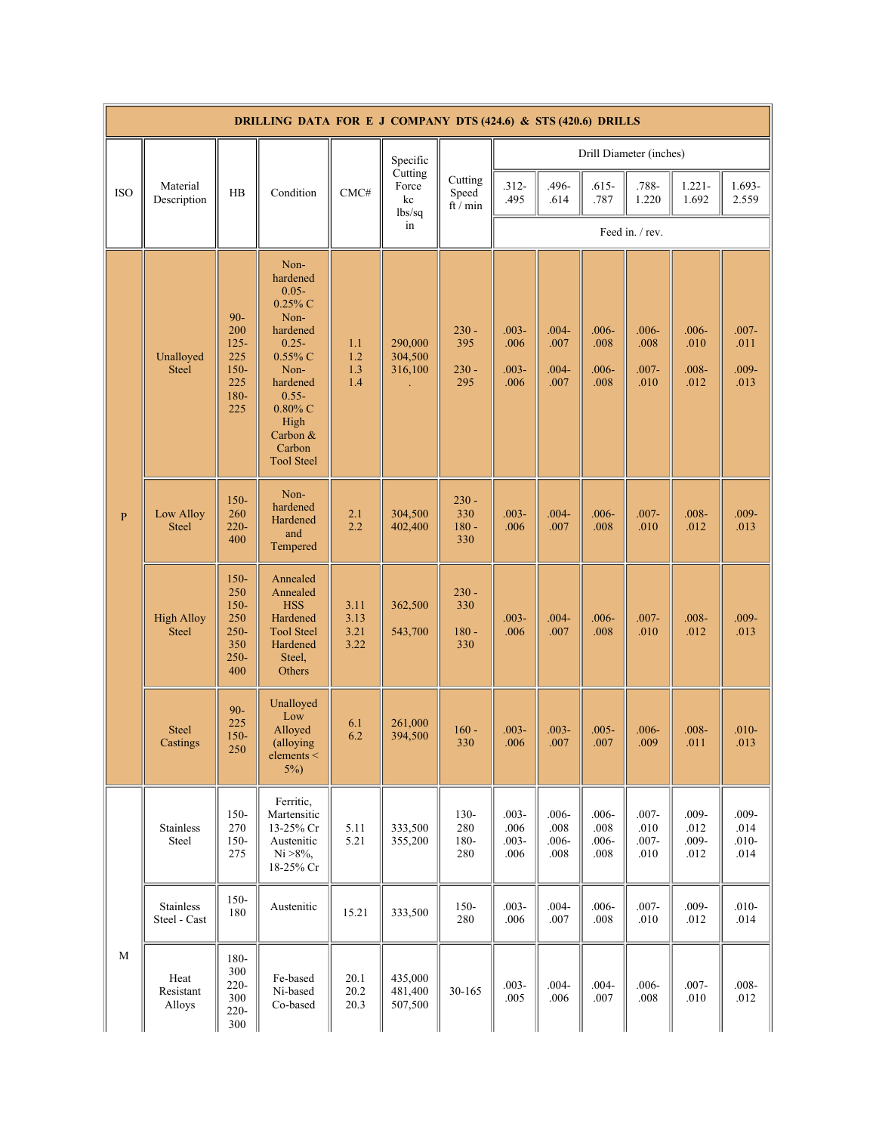| <b>DRILLING DATA FOR E J COMPANY DTS (424.6) &amp; STS (420.6) DRILLS</b> |                             |                                                                      |                                                                                                                                                                                        |                              |                                                    |                                  |                                      |                                      |                                          |                                      |                                      |                                      |  |
|---------------------------------------------------------------------------|-----------------------------|----------------------------------------------------------------------|----------------------------------------------------------------------------------------------------------------------------------------------------------------------------------------|------------------------------|----------------------------------------------------|----------------------------------|--------------------------------------|--------------------------------------|------------------------------------------|--------------------------------------|--------------------------------------|--------------------------------------|--|
| <b>ISO</b>                                                                | Material<br>Description     | HB                                                                   | Condition                                                                                                                                                                              | CMC#                         | Specific<br>Cutting<br>Force<br>kc<br>lbs/sq<br>in | Cutting<br>Speed<br>ft / $min$   | Drill Diameter (inches)              |                                      |                                          |                                      |                                      |                                      |  |
|                                                                           |                             |                                                                      |                                                                                                                                                                                        |                              |                                                    |                                  | $.312 -$<br>.495                     | .496-<br>.614                        | $.615-$<br>.787                          | .788-<br>1.220                       | $1.221 -$<br>1.692                   | 1.693-<br>2.559                      |  |
|                                                                           |                             |                                                                      |                                                                                                                                                                                        |                              |                                                    |                                  | Feed in. / rev.                      |                                      |                                          |                                      |                                      |                                      |  |
| $\mathbf{P}$                                                              | Unalloyed<br>Steel          | $90 -$<br>200<br>$125 -$<br>225<br>$150 -$<br>225<br>$180 -$<br>225  | Non-<br>hardened<br>$0.05 -$<br>$0.25\%$ C<br>Non-<br>hardened<br>$0.25 -$<br>0.55% C<br>Non-<br>hardened<br>$0.55 -$<br>$0.80\%$ C<br>High<br>Carbon &<br>Carbon<br><b>Tool Steel</b> | 1.1<br>1.2<br>1.3<br>1.4     | 290,000<br>304,500<br>316,100                      | $230 -$<br>395<br>$230 -$<br>295 | $.003 -$<br>.006<br>$.003 -$<br>.006 | $.004 -$<br>.007<br>$.004 -$<br>.007 | $.006 -$<br>.008<br>$.006 -$<br>.008     | $.006 -$<br>.008<br>$.007 -$<br>.010 | $.006 -$<br>.010<br>$.008 -$<br>.012 | $.007 -$<br>.011<br>$.009 -$<br>.013 |  |
|                                                                           | Low Alloy<br>Steel          | $150 -$<br>260<br>$220 -$<br>400                                     | Non-<br>hardened<br>Hardened<br>and<br>Tempered                                                                                                                                        | 2.1<br>2.2                   | 304,500<br>402,400                                 | $230 -$<br>330<br>$180 -$<br>330 | $.003 -$<br>.006                     | $.004 -$<br>.007                     | $.006 -$<br>.008                         | $.007 -$<br>.010                     | $.008 -$<br>.012                     | $.009 -$<br>.013                     |  |
|                                                                           | <b>High Alloy</b><br>Steel  | $150 -$<br>250<br>$150 -$<br>250<br>$250 -$<br>350<br>$250 -$<br>400 | Annealed<br>Annealed<br><b>HSS</b><br>Hardened<br><b>Tool Steel</b><br>Hardened<br>Steel,<br>Others                                                                                    | 3.11<br>3.13<br>3.21<br>3.22 | 362,500<br>543,700                                 | $230 -$<br>330<br>$180 -$<br>330 | $.003 -$<br>.006                     | $.004 -$<br>.007                     | $.006 -$<br>.008                         | $.007 -$<br>.010                     | $.008 -$<br>.012                     | $.009 -$<br>.013                     |  |
|                                                                           | <b>Steel</b><br>Castings    | $90 -$<br>225<br>$150 -$<br>250                                      | Unalloyed<br>Low<br>Alloyed<br>(alloying<br>elements <<br>$5\%$ )                                                                                                                      | 6.1<br>6.2                   | 261,000<br>394,500                                 | $160 -$<br>330                   | $.003 -$<br>.006                     | $.003 -$<br>.007                     | $.005 -$<br>.007                         | $.006 -$<br>.009                     | $.008 -$<br>.011                     | $.010 -$<br>.013                     |  |
|                                                                           | Stainless<br>Steel          | $150 -$<br>270<br>$150 -$<br>275                                     | Ferritic,<br>Martensitic<br>13-25% Cr<br>Austenitic<br>$Ni > 8\%,$<br>18-25% Cr                                                                                                        | 5.11<br>5.21                 | 333,500<br>355,200                                 | $130-$<br>280<br>180-<br>280     | $.003 -$<br>.006<br>$.003 -$<br>.006 | $.006 -$<br>.008<br>$.006 -$<br>.008 | $.006 -$<br>.008<br>$.006 -$<br>$.008\,$ | $.007 -$<br>.010<br>$.007 -$<br>.010 | $.009 -$<br>.012<br>$.009 -$<br>.012 | $.009 -$<br>.014<br>$.010 -$<br>.014 |  |
|                                                                           | Stainless<br>Steel - Cast   | $150 -$<br>180                                                       | Austenitic                                                                                                                                                                             | 15.21                        | 333,500                                            | $150-$<br>280                    | $.003 -$<br>.006                     | $.004 -$<br>.007                     | $.006 -$<br>.008                         | $.007 -$<br>.010                     | $.009 -$<br>.012                     | $.010 -$<br>.014                     |  |
| M                                                                         | Heat<br>Resistant<br>Alloys | $180-$<br>300<br>$220 -$<br>300<br>$220 -$<br>300                    | Fe-based<br>Ni-based<br>Co-based                                                                                                                                                       | 20.1<br>20.2<br>20.3         | 435,000<br>481,400<br>507,500                      | $30 - 165$                       | $.003 -$<br>.005                     | $.004 -$<br>.006                     | $.004 -$<br>.007                         | $.006 -$<br>.008                     | $.007 -$<br>.010                     | $.008 -$<br>.012                     |  |